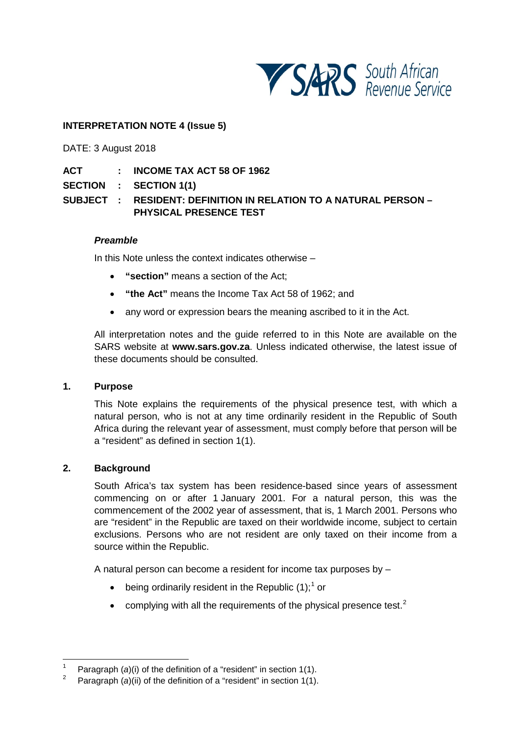

## **INTERPRETATION NOTE 4 (Issue 5)**

DATE: 3 August 2018

**ACT : INCOME TAX ACT 58 OF 1962**

**SECTION : SECTION 1(1)**

# **SUBJECT : RESIDENT: DEFINITION IN RELATION TO A NATURAL PERSON – PHYSICAL PRESENCE TEST**

#### *Preamble*

In this Note unless the context indicates otherwise –

- **"section"** means a section of the Act;
- **"the Act"** means the Income Tax Act 58 of 1962; and
- any word or expression bears the meaning ascribed to it in the Act.

All interpretation notes and the guide referred to in this Note are available on the SARS website at **[www.sars.gov.za](http://www.sars.gov.za/)**. Unless indicated otherwise, the latest issue of these documents should be consulted.

#### **1. Purpose**

This Note explains the requirements of the physical presence test, with which a natural person, who is not at any time ordinarily resident in the Republic of South Africa during the relevant year of assessment, must comply before that person will be a "resident" as defined in section 1(1).

#### **2. Background**

South Africa's tax system has been residence-based since years of assessment commencing on or after 1 January 2001. For a natural person, this was the commencement of the 2002 year of assessment, that is, 1 March 2001. Persons who are "resident" in the Republic are taxed on their worldwide income, subject to certain exclusions. Persons who are not resident are only taxed on their income from a source within the Republic.

A natural person can become a resident for income tax purposes by –

- being ordinarily resident in the Republic  $(1)$  $(1)$  $(1)$ ;<sup>1</sup> or
- $\bullet$  complying with all the requirements of the physical presence test.<sup>[2](#page-0-1)</sup>

<span id="page-0-1"></span><span id="page-0-0"></span><sup>&</sup>lt;sup>1</sup> Paragraph (*a*)(i) of the definition of a "resident" in section 1(1).

Paragraph (*a*)(ii) of the definition of a "resident" in section 1(1).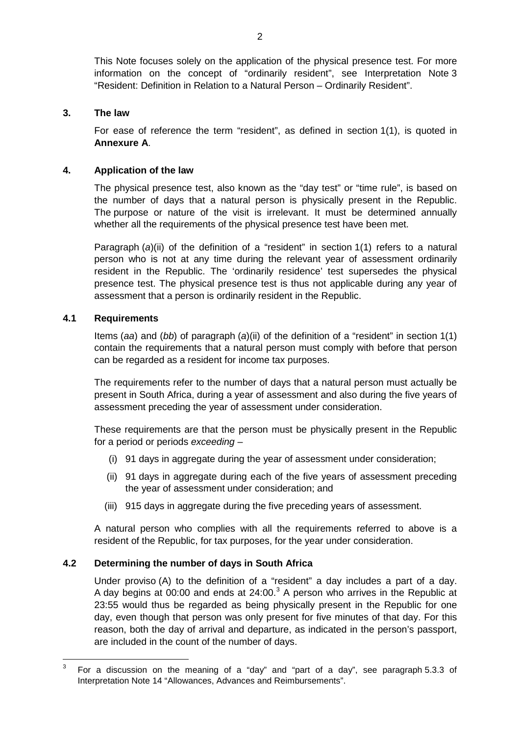This Note focuses solely on the application of the physical presence test. For more information on the concept of "ordinarily resident", see Interpretation Note 3 "Resident: Definition in Relation to a Natural Person – Ordinarily Resident".

#### **3. The law**

For ease of reference the term "resident", as defined in section 1(1), is quoted in **[Annexure](#page-8-0) A**.

#### **4. Application of the law**

The physical presence test, also known as the "day test" or "time rule", is based on the number of days that a natural person is physically present in the Republic. The purpose or nature of the visit is irrelevant. It must be determined annually whether all the requirements of the physical presence test have been met.

Paragraph (*a*)(ii) of the definition of a "resident" in section 1(1) refers to a natural person who is not at any time during the relevant year of assessment ordinarily resident in the Republic. The 'ordinarily residence' test supersedes the physical presence test. The physical presence test is thus not applicable during any year of assessment that a person is ordinarily resident in the Republic.

#### **4.1 Requirements**

Items (*aa*) and (*bb*) of paragraph (*a*)(ii) of the definition of a "resident" in section 1(1) contain the requirements that a natural person must comply with before that person can be regarded as a resident for income tax purposes.

The requirements refer to the number of days that a natural person must actually be present in South Africa, during a year of assessment and also during the five years of assessment preceding the year of assessment under consideration.

These requirements are that the person must be physically present in the Republic for a period or periods *exceeding* –

- (i) 91 days in aggregate during the year of assessment under consideration;
- (ii) 91 days in aggregate during each of the five years of assessment preceding the year of assessment under consideration; and
- (iii) 915 days in aggregate during the five preceding years of assessment.

A natural person who complies with all the requirements referred to above is a resident of the Republic, for tax purposes, for the year under consideration.

#### **4.2 Determining the number of days in South Africa**

Under proviso (A) to the definition of a "resident" a day includes a part of a day. A day begins at 00:00 and ends at 24:00. $3$  A person who arrives in the Republic at 23:55 would thus be regarded as being physically present in the Republic for one day, even though that person was only present for five minutes of that day. For this reason, both the day of arrival and departure, as indicated in the person's passport, are included in the count of the number of days.

<span id="page-1-0"></span> $3$  For a discussion on the meaning of a "day" and "part of a day", see paragraph 5.3.3 of Interpretation Note 14 "Allowances, Advances and Reimbursements".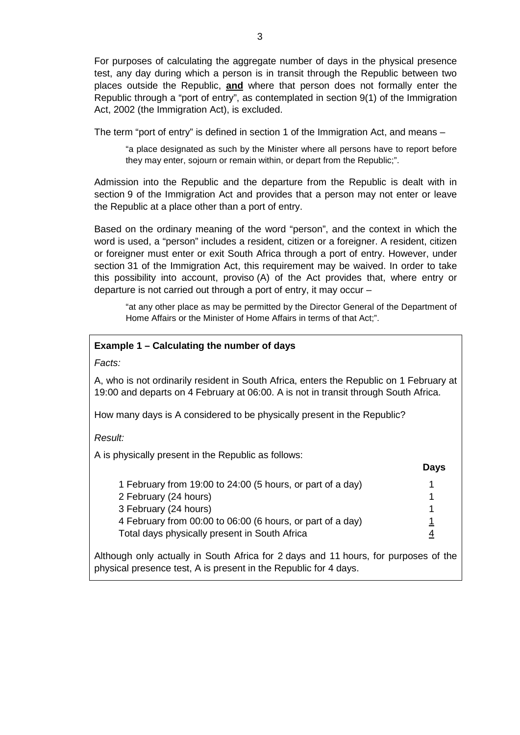For purposes of calculating the aggregate number of days in the physical presence test, any day during which a person is in transit through the Republic between two places outside the Republic, **and** where that person does not formally enter the Republic through a "port of entry", as contemplated in section 9(1) of the Immigration Act, 2002 (the Immigration Act), is excluded.

The term "port of entry" is defined in section 1 of the Immigration Act, and means –

"a place designated as such by the Minister where all persons have to report before they may enter, sojourn or remain within, or depart from the Republic;".

Admission into the Republic and the departure from the Republic is dealt with in section 9 of the Immigration Act and provides that a person may not enter or leave the Republic at a place other than a port of entry.

Based on the ordinary meaning of the word "person", and the context in which the word is used, a "person" includes a resident, citizen or a foreigner. A resident, citizen or foreigner must enter or exit South Africa through a port of entry. However, under section 31 of the Immigration Act, this requirement may be waived. In order to take this possibility into account, proviso (A) of the Act provides that, where entry or departure is not carried out through a port of entry, it may occur –

"at any other place as may be permitted by the Director General of the Department of Home Affairs or the Minister of Home Affairs in terms of that Act;".

#### **Example 1 – Calculating the number of days**

*Facts:*

A, who is not ordinarily resident in South Africa, enters the Republic on 1 February at 19:00 and departs on 4 February at 06:00. A is not in transit through South Africa.

How many days is A considered to be physically present in the Republic?

*Result:*

A is physically present in the Republic as follows:

| 1 February from 19:00 to 24:00 (5 hours, or part of a day) |   |
|------------------------------------------------------------|---|
| 2 February (24 hours)                                      |   |
| 3 February (24 hours)                                      |   |
| 4 February from 00:00 to 06:00 (6 hours, or part of a day) |   |
| Total days physically present in South Africa              | 4 |
|                                                            |   |

**Days**

Although only actually in South Africa for 2 days and 11 hours, for purposes of the physical presence test, A is present in the Republic for 4 days.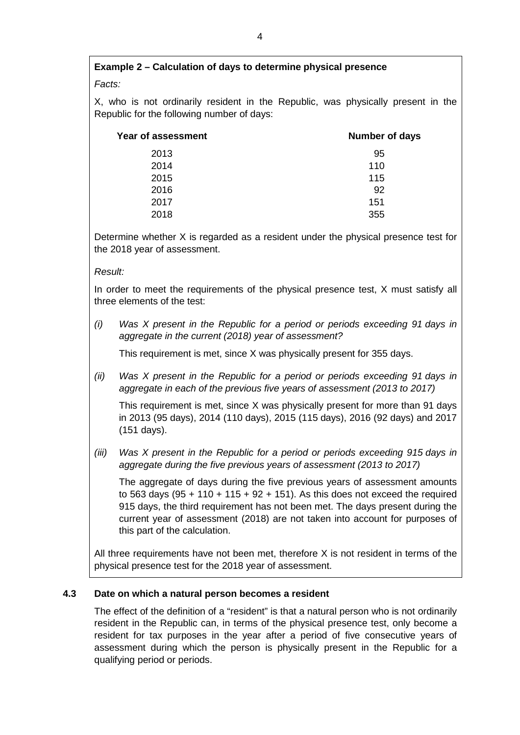# **Example 2 – Calculation of days to determine physical presence**

## *Facts:*

X, who is not ordinarily resident in the Republic, was physically present in the Republic for the following number of days:

| Year of assessment | <b>Number of days</b> |
|--------------------|-----------------------|
| 2013               | 95                    |
| 2014               | 110                   |
| 2015               | 115                   |
| 2016               | 92                    |
| 2017               | 151                   |
| 2018               | 355                   |

Determine whether X is regarded as a resident under the physical presence test for the 2018 year of assessment.

#### *Result:*

In order to meet the requirements of the physical presence test, X must satisfy all three elements of the test:

*(i) Was X present in the Republic for a period or periods exceeding 91 days in aggregate in the current (2018) year of assessment?*

This requirement is met, since X was physically present for 355 days.

*(ii) Was X present in the Republic for a period or periods exceeding 91 days in aggregate in each of the previous five years of assessment (2013 to 2017)*

This requirement is met, since X was physically present for more than 91 days in 2013 (95 days), 2014 (110 days), 2015 (115 days), 2016 (92 days) and 2017 (151 days).

*(iii) Was X present in the Republic for a period or periods exceeding 915 days in aggregate during the five previous years of assessment (2013 to 2017)*

The aggregate of days during the five previous years of assessment amounts to 563 days ( $95 + 110 + 115 + 92 + 151$ ). As this does not exceed the required 915 days, the third requirement has not been met. The days present during the current year of assessment (2018) are not taken into account for purposes of this part of the calculation.

All three requirements have not been met, therefore X is not resident in terms of the physical presence test for the 2018 year of assessment.

## **4.3 Date on which a natural person becomes a resident**

The effect of the definition of a "resident" is that a natural person who is not ordinarily resident in the Republic can, in terms of the physical presence test, only become a resident for tax purposes in the year after a period of five consecutive years of assessment during which the person is physically present in the Republic for a qualifying period or periods.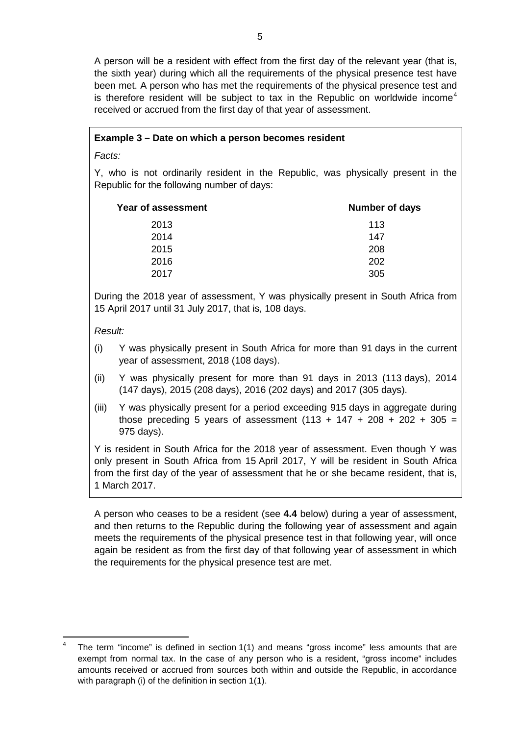A person will be a resident with effect from the first day of the relevant year (that is, the sixth year) during which all the requirements of the physical presence test have been met. A person who has met the requirements of the physical presence test and is therefore resident will be subject to tax in the Republic on worldwide income<sup>[4](#page-4-0)</sup> received or accrued from the first day of that year of assessment.

## **Example 3 – Date on which a person becomes resident**

*Facts:*

Y, who is not ordinarily resident in the Republic, was physically present in the Republic for the following number of days:

| Year of assessment | Number of days |
|--------------------|----------------|
| 2013               | 113            |
| 2014               | 147            |
| 2015               | 208            |
| 2016               | 202            |
| 2017               | 305            |

During the 2018 year of assessment, Y was physically present in South Africa from 15 April 2017 until 31 July 2017, that is, 108 days.

*Result:*

- (i) Y was physically present in South Africa for more than 91 days in the current year of assessment, 2018 (108 days).
- (ii) Y was physically present for more than 91 days in 2013 (113 days), 2014 (147 days), 2015 (208 days), 2016 (202 days) and 2017 (305 days).
- (iii) Y was physically present for a period exceeding 915 days in aggregate during those preceding 5 years of assessment  $(113 + 147 + 208 + 202 + 305 =$ 975 days).

Y is resident in South Africa for the 2018 year of assessment. Even though Y was only present in South Africa from 15 April 2017, Y will be resident in South Africa from the first day of the year of assessment that he or she became resident, that is, 1 March 2017.

A person who ceases to be a resident (see **[4.4](#page-5-0)** below) during a year of assessment, and then returns to the Republic during the following year of assessment and again meets the requirements of the physical presence test in that following year, will once again be resident as from the first day of that following year of assessment in which the requirements for the physical presence test are met.

<span id="page-4-0"></span>The term "income" is defined in section 1(1) and means "gross income" less amounts that are exempt from normal tax. In the case of any person who is a resident, "gross income" includes amounts received or accrued from sources both within and outside the Republic, in accordance with paragraph (i) of the definition in section 1(1).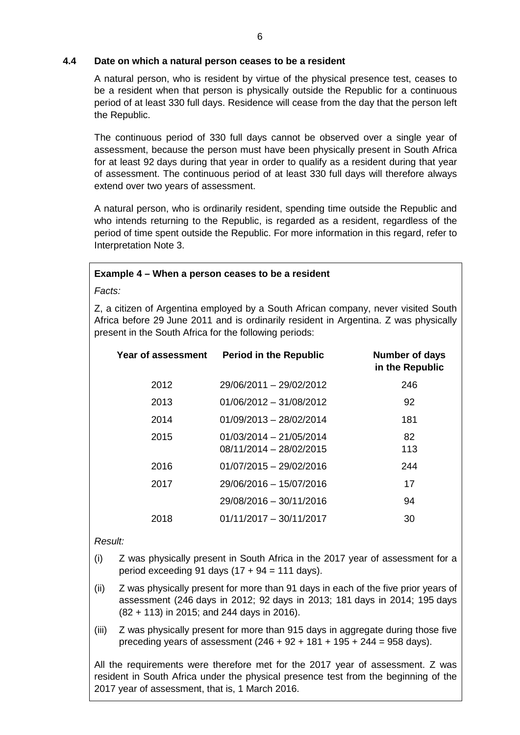### <span id="page-5-0"></span>**4.4 Date on which a natural person ceases to be a resident**

A natural person, who is resident by virtue of the physical presence test, ceases to be a resident when that person is physically outside the Republic for a continuous period of at least 330 full days. Residence will cease from the day that the person left the Republic.

The continuous period of 330 full days cannot be observed over a single year of assessment, because the person must have been physically present in South Africa for at least 92 days during that year in order to qualify as a resident during that year of assessment. The continuous period of at least 330 full days will therefore always extend over two years of assessment.

A natural person, who is ordinarily resident, spending time outside the Republic and who intends returning to the Republic, is regarded as a resident, regardless of the period of time spent outside the Republic. For more information in this regard, refer to Interpretation Note 3.

#### **Example 4 – When a person ceases to be a resident**

*Facts:*

Z, a citizen of Argentina employed by a South African company, never visited South Africa before 29 June 2011 and is ordinarily resident in Argentina. Z was physically present in the South Africa for the following periods:

| Year of assessment | <b>Period in the Republic</b>                        | <b>Number of days</b><br>in the Republic |
|--------------------|------------------------------------------------------|------------------------------------------|
| 2012               | 29/06/2011 - 29/02/2012                              | 246                                      |
| 2013               | $01/06/2012 - 31/08/2012$                            | 92                                       |
| 2014               | $01/09/2013 - 28/02/2014$                            | 181                                      |
| 2015               | $01/03/2014 - 21/05/2014$<br>08/11/2014 - 28/02/2015 | 82<br>113                                |
| 2016               | $01/07/2015 - 29/02/2016$                            | 244                                      |
| 2017               | 29/06/2016 - 15/07/2016                              | 17                                       |
|                    | 29/08/2016 - 30/11/2016                              | 94                                       |
| 2018               | $01/11/2017 - 30/11/2017$                            | 30                                       |

#### *Result:*

- (i) Z was physically present in South Africa in the 2017 year of assessment for a period exceeding 91 days  $(17 + 94 = 111$  days).
- (ii) Z was physically present for more than 91 days in each of the five prior years of assessment (246 days in 2012; 92 days in 2013; 181 days in 2014; 195 days (82 + 113) in 2015; and 244 days in 2016).
- (iii) Z was physically present for more than 915 days in aggregate during those five preceding years of assessment  $(246 + 92 + 181 + 195 + 244 = 958$  days).

All the requirements were therefore met for the 2017 year of assessment. Z was resident in South Africa under the physical presence test from the beginning of the 2017 year of assessment, that is, 1 March 2016.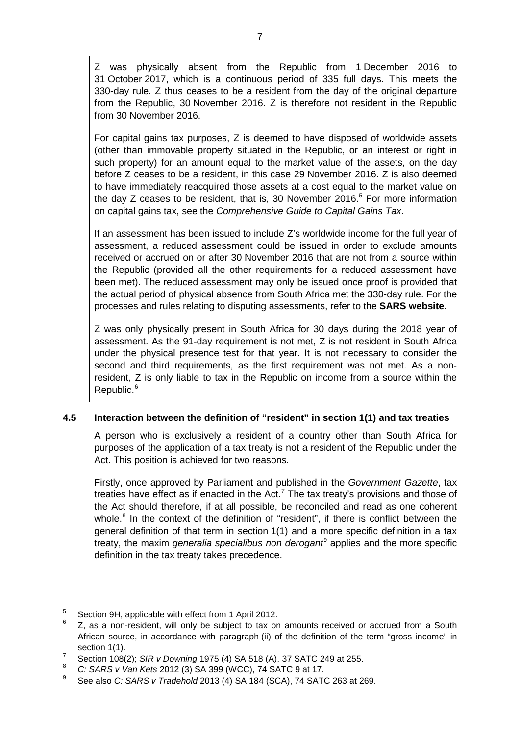Z was physically absent from the Republic from 1 December 2016 to 31 October 2017, which is a continuous period of 335 full days. This meets the 330-day rule. Z thus ceases to be a resident from the day of the original departure from the Republic, 30 November 2016. Z is therefore not resident in the Republic from 30 November 2016.

For capital gains tax purposes, Z is deemed to have disposed of worldwide assets (other than immovable property situated in the Republic, or an interest or right in such property) for an amount equal to the market value of the assets, on the day before Z ceases to be a resident, in this case 29 November 2016. Z is also deemed to have immediately reacquired those assets at a cost equal to the market value on the day Z ceases to be resident, that is, 30 November 2016.<sup>[5](#page-6-0)</sup> For more information on capital gains tax, see the *Comprehensive Guide to Capital Gains Tax*.

If an assessment has been issued to include Z's worldwide income for the full year of assessment, a reduced assessment could be issued in order to exclude amounts received or accrued on or after 30 November 2016 that are not from a source within the Republic (provided all the other requirements for a reduced assessment have been met). The reduced assessment may only be issued once proof is provided that the actual period of physical absence from South Africa met the 330-day rule. For the processes and rules relating to disputing assessments, refer to the **[SARS website](http://www.sars.gov.za/)**.

Z was only physically present in South Africa for 30 days during the 2018 year of assessment. As the 91-day requirement is not met, Z is not resident in South Africa under the physical presence test for that year. It is not necessary to consider the second and third requirements, as the first requirement was not met. As a nonresident, Z is only liable to tax in the Republic on income from a source within the Republic.<sup>[6](#page-6-1)</sup>

## **4.5 Interaction between the definition of "resident" in section 1(1) and tax treaties**

A person who is exclusively a resident of a country other than South Africa for purposes of the application of a tax treaty is not a resident of the Republic under the Act. This position is achieved for two reasons.

Firstly, once approved by Parliament and published in the *Government Gazette*, tax treaties have effect as if enacted in the Act.<sup>[7](#page-6-2)</sup> The tax treaty's provisions and those of the Act should therefore, if at all possible, be reconciled and read as one coherent whole. $8$  In the context of the definition of "resident", if there is conflict between the general definition of that term in section 1(1) and a more specific definition in a tax treaty, the maxim *generalia specialibus non derogant*[9](#page-6-4) applies and the more specific definition in the tax treaty takes precedence.

<span id="page-6-0"></span> $\frac{5}{2}$  Section 9H, applicable with effect from 1 April 2012.

<span id="page-6-1"></span>Z, as a non-resident, will only be subject to tax on amounts received or accrued from a South African source, in accordance with paragraph (ii) of the definition of the term "gross income" in section 1(1).

<span id="page-6-2"></span><sup>7</sup> Section 108(2); *SIR v Downing* 1975 (4) SA 518 (A), 37 SATC 249 at 255.

<span id="page-6-4"></span><span id="page-6-3"></span><sup>8</sup> *C: SARS v Van Kets* 2012 (3) SA 399 (WCC), 74 SATC 9 at 17.

<sup>9</sup> See also *C: SARS v Tradehold* 2013 (4) SA 184 (SCA), 74 SATC 263 at 269.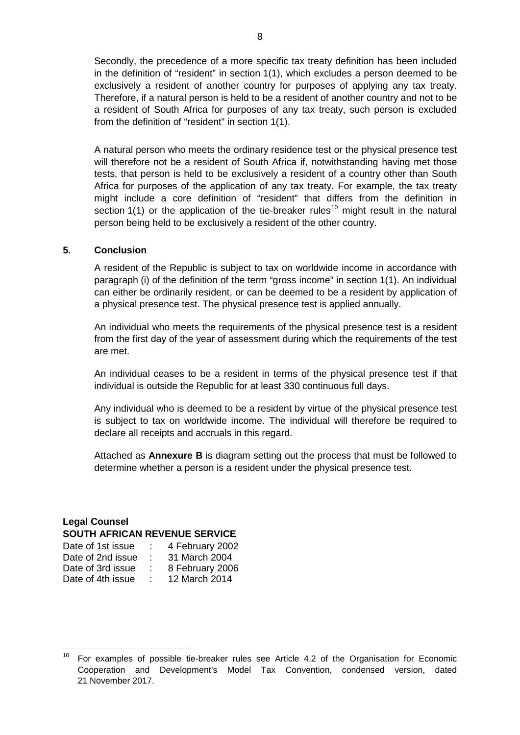Secondly, the precedence of a more specific tax treaty definition has been included in the definition of "resident" in section 1(1), which excludes a person deemed to be exclusively a resident of another country for purposes of applying any tax treaty. Therefore, if a natural person is held to be a resident of another country and not to be a resident of South Africa for purposes of any tax treaty, such person is excluded from the definition of "resident" in section 1(1).

A natural person who meets the ordinary residence test or the physical presence test will therefore not be a resident of South Africa if, notwithstanding having met those tests, that person is held to be exclusively a resident of a country other than South Africa for purposes of the application of any tax treaty. For example, the tax treaty might include a core definition of "resident" that differs from the definition in section 1(1) or the application of the tie-breaker rules<sup>[10](#page-7-0)</sup> might result in the natural person being held to be exclusively a resident of the other country.

#### **5. Conclusion**

A resident of the Republic is subject to tax on worldwide income in accordance with paragraph (i) of the definition of the term "gross income" in section 1(1). An individual can either be ordinarily resident, or can be deemed to be a resident by application of a physical presence test. The physical presence test is applied annually.

An individual who meets the requirements of the physical presence test is a resident from the first day of the year of assessment during which the requirements of the test are met.

An individual ceases to be a resident in terms of the physical presence test if that individual is outside the Republic for at least 330 continuous full days.

Any individual who is deemed to be a resident by virtue of the physical presence test is subject to tax on worldwide income. The individual will therefore be required to declare all receipts and accruals in this regard.

Attached as **[Annexure B](#page-9-0)** is diagram setting out the process that must be followed to determine whether a person is a resident under the physical presence test.

## **Legal Counsel SOUTH AFRICAN REVENUE SERVICE**

| Date of 1st issue | 4 February 2002 |
|-------------------|-----------------|
| Date of 2nd issue | 31 March 2004   |
| Date of 3rd issue | 8 February 2006 |
| Date of 4th issue | 12 March 2014   |

<span id="page-7-0"></span> $10$  For examples of possible tie-breaker rules see Article 4.2 of the Organisation for Economic Cooperation and Development's Model Tax Convention, condensed version, dated 21 November 2017.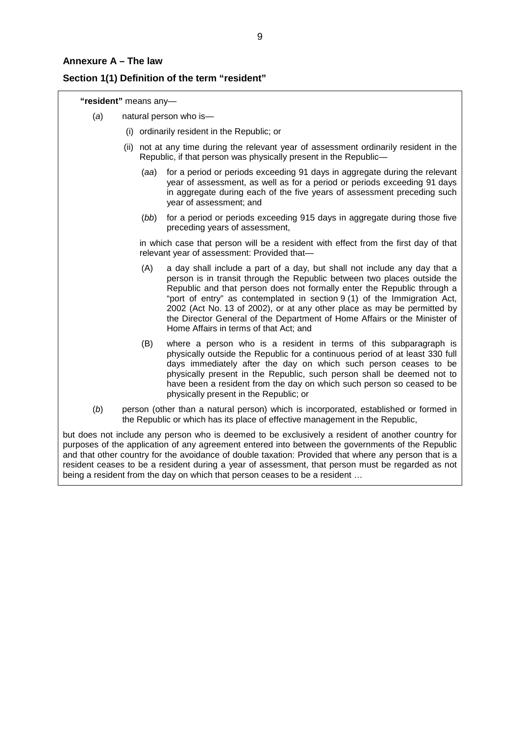#### <span id="page-8-0"></span>**Annexure A – The law**

#### **Section 1(1) Definition of the term "resident"**

**"resident"** means any—

- (*a*) natural person who is—
	- (i) ordinarily resident in the Republic; or
	- (ii) not at any time during the relevant year of assessment ordinarily resident in the Republic, if that person was physically present in the Republic—
		- (*aa*) for a period or periods exceeding 91 days in aggregate during the relevant year of assessment, as well as for a period or periods exceeding 91 days in aggregate during each of the five years of assessment preceding such year of assessment; and
		- (*bb*) for a period or periods exceeding 915 days in aggregate during those five preceding years of assessment,

in which case that person will be a resident with effect from the first day of that relevant year of assessment: Provided that—

- (A) a day shall include a part of a day, but shall not include any day that a person is in transit through the Republic between two places outside the Republic and that person does not formally enter the Republic through a "port of entry" as contemplated in section 9 (1) of the Immigration Act, 2002 (Act No. 13 of 2002), or at any other place as may be permitted by the Director General of the Department of Home Affairs or the Minister of Home Affairs in terms of that Act; and
- (B) where a person who is a resident in terms of this subparagraph is physically outside the Republic for a continuous period of at least 330 full days immediately after the day on which such person ceases to be physically present in the Republic, such person shall be deemed not to have been a resident from the day on which such person so ceased to be physically present in the Republic; or
- (*b*) person (other than a natural person) which is incorporated, established or formed in the Republic or which has its place of effective management in the Republic,

but does not include any person who is deemed to be exclusively a resident of another country for purposes of the application of any agreement entered into between the governments of the Republic and that other country for the avoidance of double taxation: Provided that where any person that is a resident ceases to be a resident during a year of assessment, that person must be regarded as not being a resident from the day on which that person ceases to be a resident …